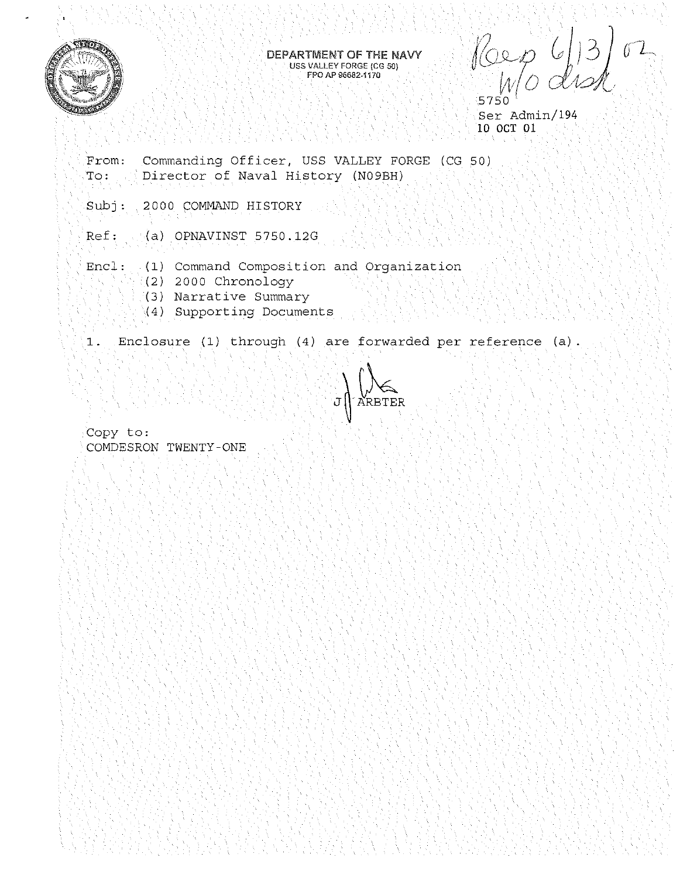

#### DEPARTMENT OF THE NAVY **USS VALLEY FORGE (CG 50) FPO AP 96682-1170**

J{b\_",fl *(, j* j?J ) *UL*   $w/$ *o* disk 5750

Ser Admin/194 10 OCT 01

From: To: Commanding Officer, USS VALLEY FORGE (CG 50) Director of Naval History (N09BH)

Subj: 2000 COMMAND HISTORY

Ref: (a) OPNAVINST 5750.12G

Encl: (1) Command Composition and Organization

- (2) 2000 Chronology
- (3) Narrative Summary
- (4) Supporting Documents

1. Enclosure (1) through (4) are forwarded per reference (a).



Copy to: COMDESRON TWENTY-ONE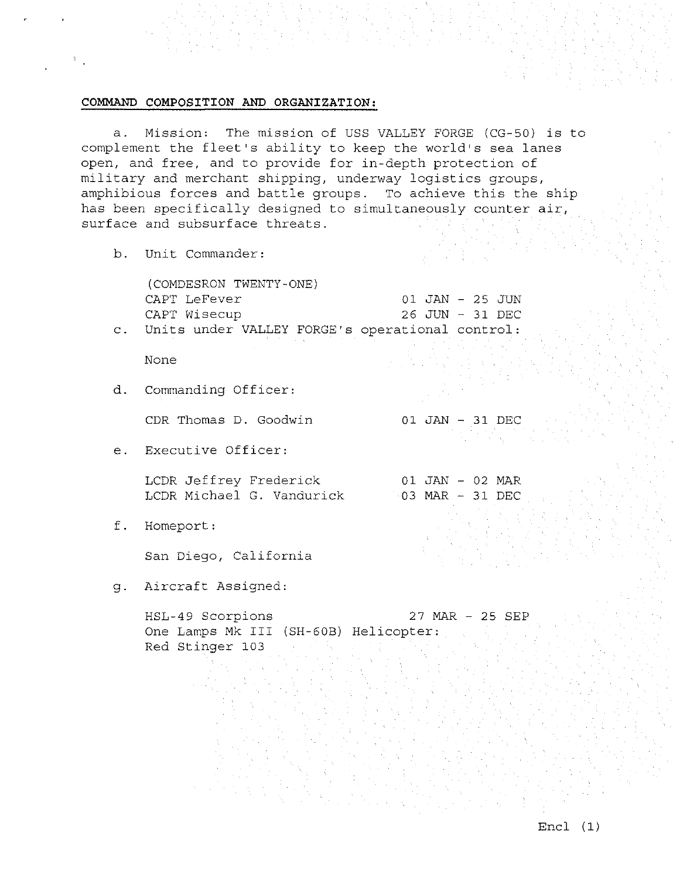# **COMMAND COMPOSITION AND ORGANIZATION:**

a. Mission: The mission of USS VALLEY FORGE (CG-50) is to complement the fleet's ability to keep the world's sea lanes open, and free, and to provide for in-depth protection of military and merchant shipping, underway logistics groups, amphibious forces and battle groups. To achieve this the ship has been specifically designed to simultaneously counter air, surface and subsurface threats.

b. Unit Commander:

(COMDESRON TWENTY-ONE) CAPT LeFever 01 JAN - 25 JUN CAPT Wisecup 26 JUN - 31 DEC c. Units under VALLEY FORGE's operational control:

01 JAN - 31 DEC

01 JAN - 02 MAR

None

d. Commanding Officer:

CDR Thomas D. Goodwin

e. Executive Officer:

LCDR Jeffrey Frederick LCDR Michael G. Vandurick 03 MAR - 31 DEC

f . Homeport :

San Diego, California

g. Aircraft Assigned:

HSL-49 Scorpions 27 MAR - 25 SEP One Lamps Mk III (SH-608) Helicopter: Red Stinger 103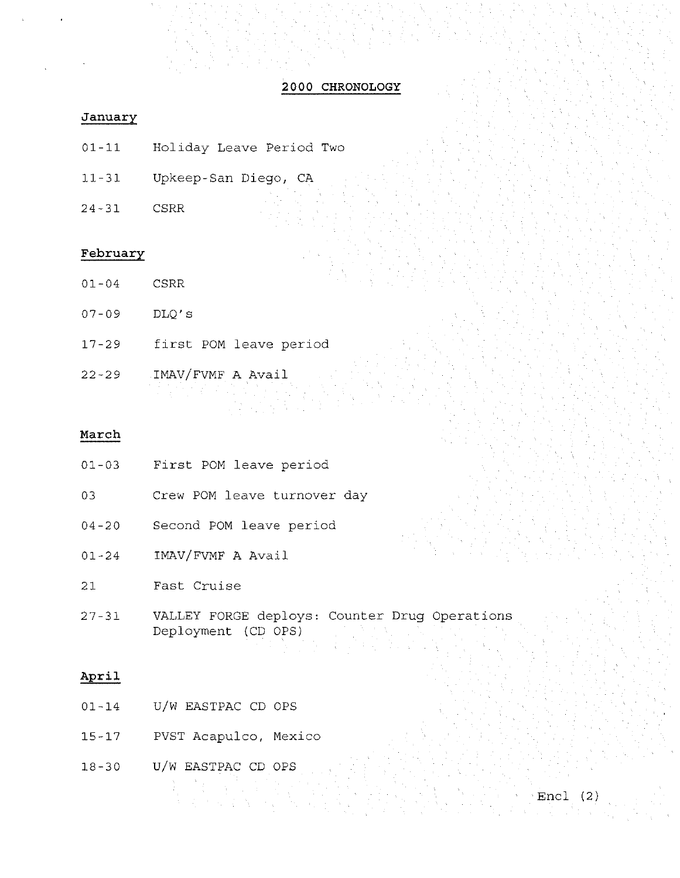# **2000 CHRONOLOGY**

# **January**

- 01-11 Holiday Leave Period Two
- 11-31 Upkeep-San Diego, CA
- 24-31 CSRR

#### **February**

- 01-04 CSRR
- 07-09 DLQ's
- 17-29 first POM leave period
- 22-29 IMAV/FVMF A Avail

# **March**

- 01-03 First POM leave period
- 03 Crew POM leave turnover day
- 04-20 Second POM leave period
- 01-24 IMAV/FVMF A Avail
- 21 Fast Cruise
- 27-31 VALLEY FORGE deploys: Counter Drug Operations Deployment (CD OPS)

Encl (2)

# **April**

- 01-14 U/W EASTPAC CD OPS
- 15-17 PVST Acapulco, Mexico
- 18-30 U/W EASTPAC CD OPS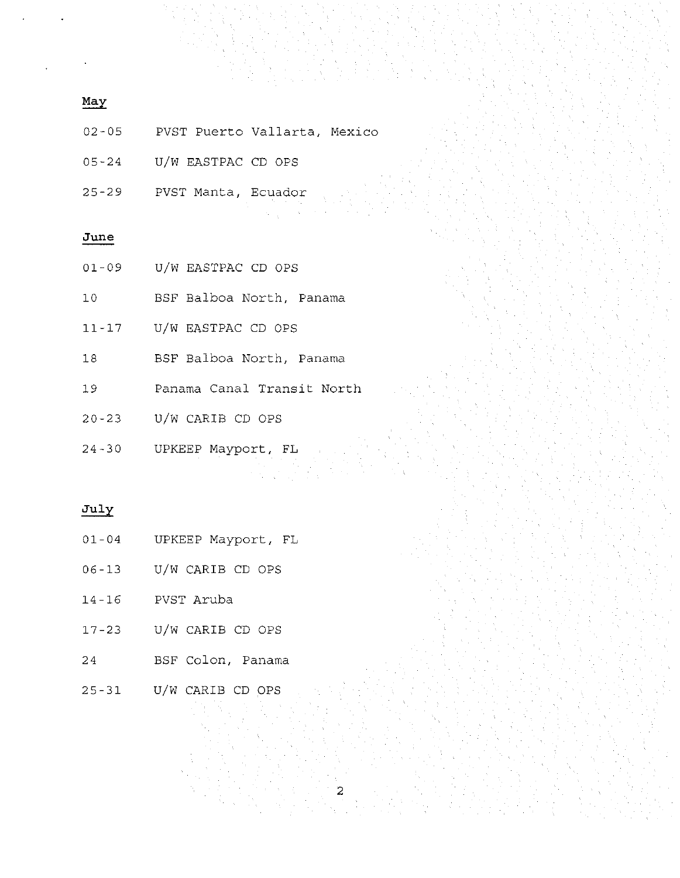# **May**

- 02-05 PVST Puerto Vallarta, Mexico
- 05-24 U/W EASTPAC CD OPS
- 25-29 PVST Manta, Ecuador

# **June**

- 01-09 U/W EASTPAC CD OPS
- 10 BSF Balboa North, Panama
- 11-17 U/W EASTPAC CD OPS
- 18 BSF Balboa North, Panama
- 19 Panama Canal Transit North
- 20-23 U/W CARIB CD OPS
- 24-30 UPKEEP Mayport, FL

### **July**

- 01-04 UPKEEP Mayport, FL
- 06-13 U/W CARIB CD OPS
- 14-16 PVST Aruba
- 17-23 U/W CARIB CD OPS
- 24 BSF Colon, Panama
- 25-31 U/W CARIB CD OPS

2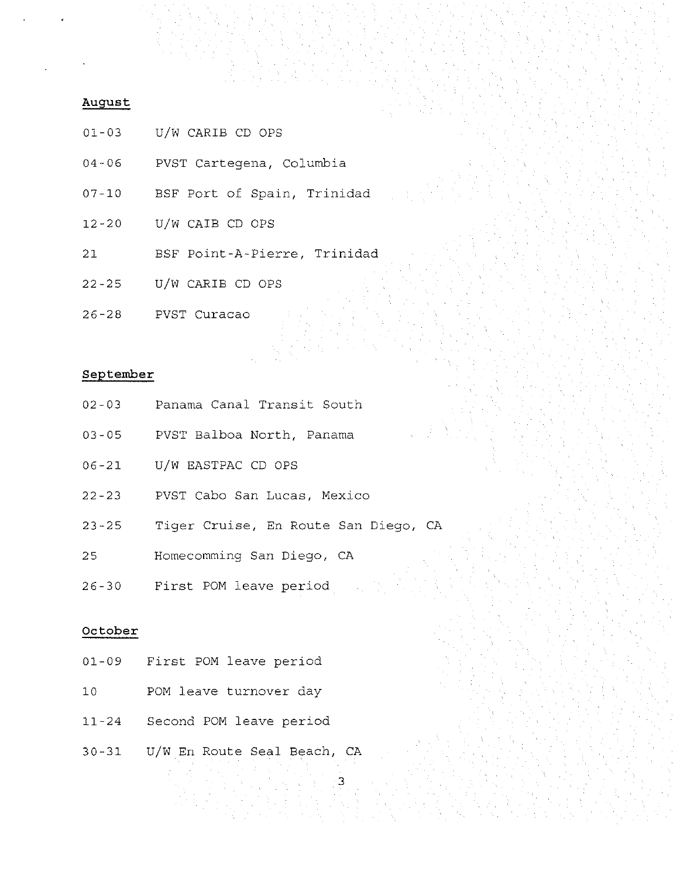### **August**

- 01-03 U/W CARIB CD OPS
- 04-06 PVST Cartegena, Columbia
- 07-10 BSF Port of Spain, Trinidad
- 12-20 U/W CAIB CD OPS
- 21 BSF Point-A-Pierre, Trinidad
- 22-25 U/W CARIB CD OPS
- 26-28 PVST Curacao

# **September**

- 02-03 Panama Canal Transit South
- 03-05 PVST Balboa North, Panama
- 06-21 U/W EASTPAC CD OPS
- 22-23 PVST Cabo San Lucas, Mexico
- 23-25 Tiger Cruise, En Route San Diego, CA
- 25 Homecomming San Diego, CA
- 26-30 First POM leave period

### **October**

- 01-09 First POM leave period
- 10 POM leave turnover day
- 11-24 Second POM leave period
- 30-31 U/W En Route Seal Beach, CA

3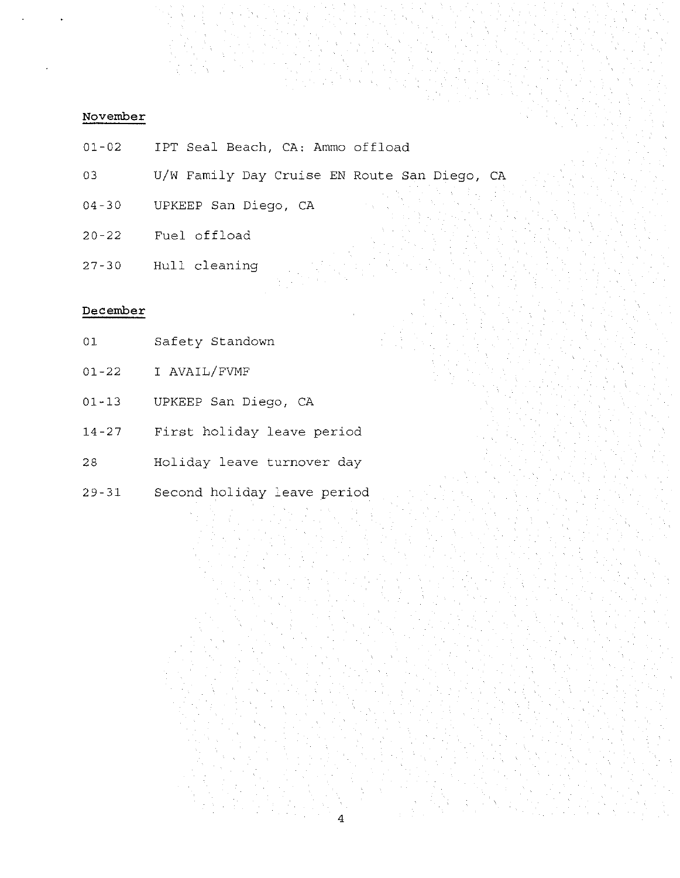# **November**

- 01-02 IPT Seal Beach, CA: Ammo offload
- 03 U/W Family Day Cruise EN Route San Diego, CA
- 04-30 UPKEEP San Diego, CA
- 20-22 Fuel offload
- 27-30 Hull cleaning

# **December**

- 01 Safety Standown
- 01-22 I AVAIL/FVMF
- 01-13 UPKEEP San Diego, CA
- 14-27 First holiday leave period
- 28 Holiday leave turnover day
- 29-31 Second holiday leave period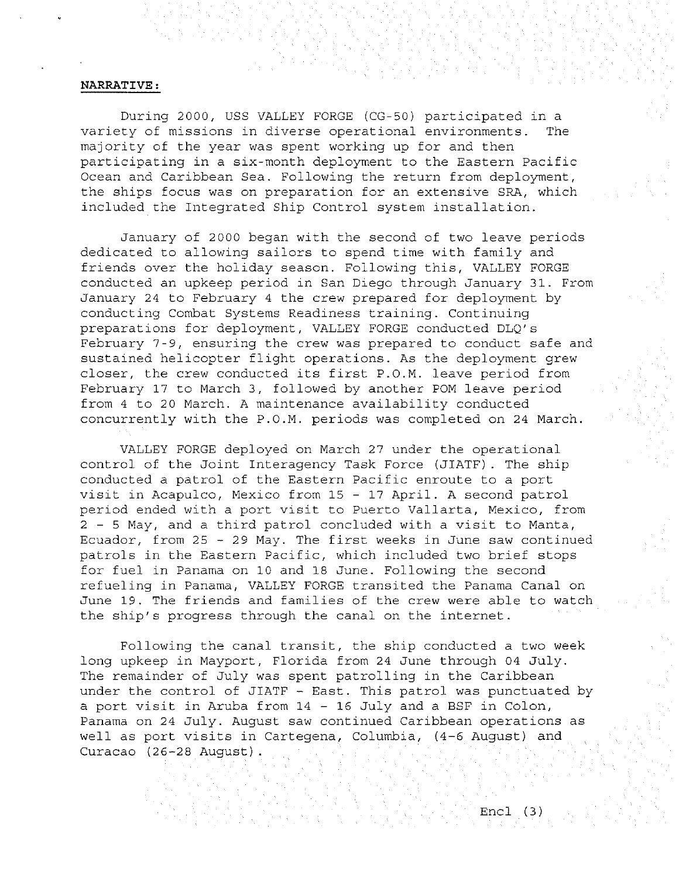#### **NARRATIVE:**

During 2000, USS VALLEY FORGE (CG-50) participated in a variety of missions in diverse operational environments. The majority of the year was spent working up for and then participating in a six-month deployment to the Eastern Pacific Ocean and Caribbean Sea. Following the return from deployment, the ships focus was on preparation for an extensive SRA, which included the Integrated Ship Control system installation.

January of 2000 began with the second of two leave periods dedicated to allowing sailors to spend time with family and friends over the holiday season. Following this, VALLEY FORGE conducted an upkeep period in San Diego through January 31. From January 24 to February 4 the crew prepared for deployment by conducting Combat Systems Readiness training. Continuing preparations for deployment, VALLEY FORGE conducted DLQ's February 7-9, ensuring the crew was prepared to conduct safe and sustained helicopter flight operations. As the deployment grew closer, the crew conducted its first P.O.M. leave period from February 17 to March 3, followed by another POM leave period from 4 to 20 March. A maintenance availability conducted concurrently with the P.O.M. periods was completed on 24 March.

VALLEY FORGE deployed on March 27 under the operational control of the Joint Interagency Task Force (JIATF) . The ship conducted a patrol of the Eastern Pacific enroute to a port visit in Acapulco, Mexico from 15 - 17 April. A second patrol period ended with a port visit to Puerto Vallarta, Mexico, from 2 - 5 May, and a third patrol concluded with a visit to Manta, Ecuador, from 25 - 29 May. The first weeks in June saw continued patrols in the Eastern Pacific, which included two brief stops for fuel in Panama on 10 and 18 June. Following the second refueling in Panama, VALLEY FORGE transited the Panama Canal on June 19. The friends and families of the crew were able to watch the ship's progress through the canal on the internet.

Following the canal transit, the ship conducted a two week long upkeep in Mayport, Florida from 24 June through 04 July. The remainder of July was spent patrolling in the Caribbean under the control of JIATF - East. This patrol was punctuated by a port visit in Aruba from 14 - 16 July and a BSF in Colon, Panama on 24 July. August saw continued Caribbean operations as well as port visits in Cartegena, Columbia, (4-6 August) and Curacao (26-28 August) .

Encl (3)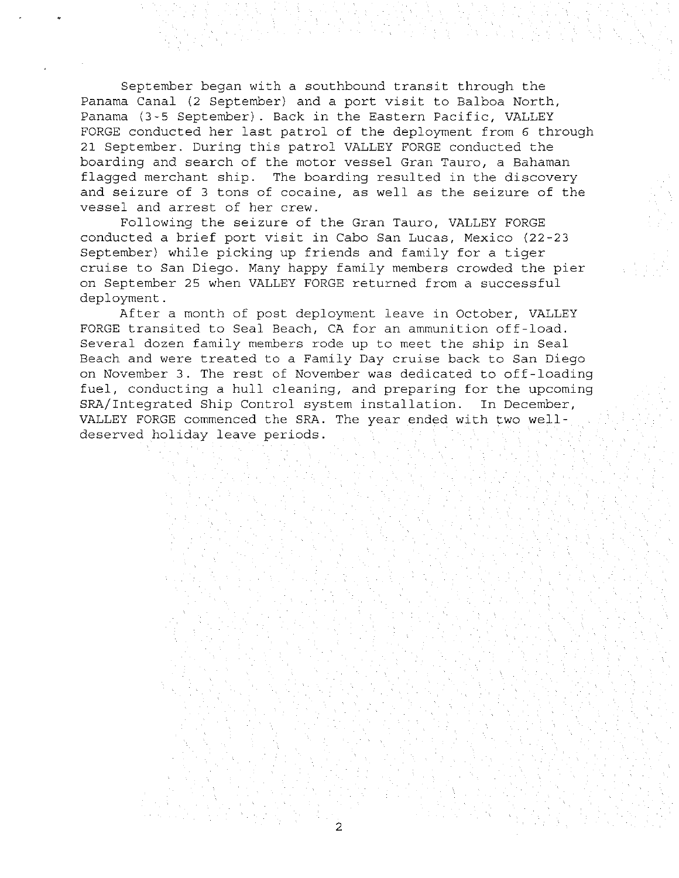September began with a southbound transit through the Panama Canal (2 September) and a port visit to Balboa North, Panama (3-5 September). Back in the Eastern Pacific, VALLEY FORGE conducted her last patrol of the deployment from 6 through 21 September. During this patrol VALLEY FORGE conducted the boarding and search of the motor vessel Gran Tauro, a Bahaman flagged merchant ship. The boarding resulted in the discovery and seizure of 3 tons of cocaine, as well as the seizure of the vessel and arrest of her crew.

Following the seizure of the Gran Tauro, VALLEY FORGE conducted a brief port visit in Cabo San Lucas, Mexico (22-23 September) while picking up friends and family for a tiger cruise to San Diego. Many happy family members crowded the pier on September 25 when VALLEY FORGE returned from a successful deployment.

After a month of post deployment leave in October, VALLEY FORGE transited to Seal Beach, CA for an ammunition off-load. Several dozen family members rode up to meet the ship in Seal Beach and were treated to a Family Day cruise back to San Diego on November 3. The rest of November was dedicated to off-loading fuel, conducting a hull cleaning, and preparing for the upcoming SRA/Integrated Ship Control system installation. In December, VALLEY FORGE commenced the SRA. The year ended with two welldeserved holiday leave periods.

2